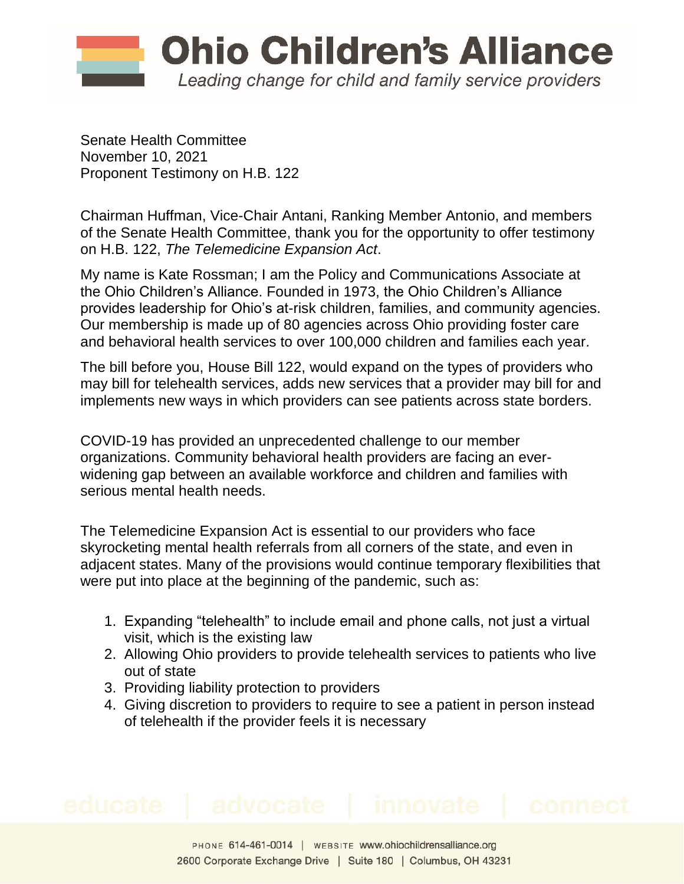

Senate Health Committee November 10, 2021 Proponent Testimony on H.B. 122

Chairman Huffman, Vice-Chair Antani, Ranking Member Antonio, and members of the Senate Health Committee, thank you for the opportunity to offer testimony on H.B. 122, *The Telemedicine Expansion Act*.

My name is Kate Rossman; I am the Policy and Communications Associate at the Ohio Children's Alliance. Founded in 1973, the Ohio Children's Alliance provides leadership for Ohio's at-risk children, families, and community agencies. Our membership is made up of 80 agencies across Ohio providing foster care and behavioral health services to over 100,000 children and families each year.

The bill before you, House Bill 122, would expand on the types of providers who may bill for telehealth services, adds new services that a provider may bill for and implements new ways in which providers can see patients across state borders.

COVID-19 has provided an unprecedented challenge to our member organizations. Community behavioral health providers are facing an everwidening gap between an available workforce and children and families with serious mental health needs.

The Telemedicine Expansion Act is essential to our providers who face skyrocketing mental health referrals from all corners of the state, and even in adjacent states. Many of the provisions would continue temporary flexibilities that were put into place at the beginning of the pandemic, such as:

- 1. Expanding "telehealth" to include email and phone calls, not just a virtual visit, which is the existing law
- 2. Allowing Ohio providers to provide telehealth services to patients who live out of state
- 3. Providing liability protection to providers
- 4. Giving discretion to providers to require to see a patient in person instead of telehealth if the provider feels it is necessary